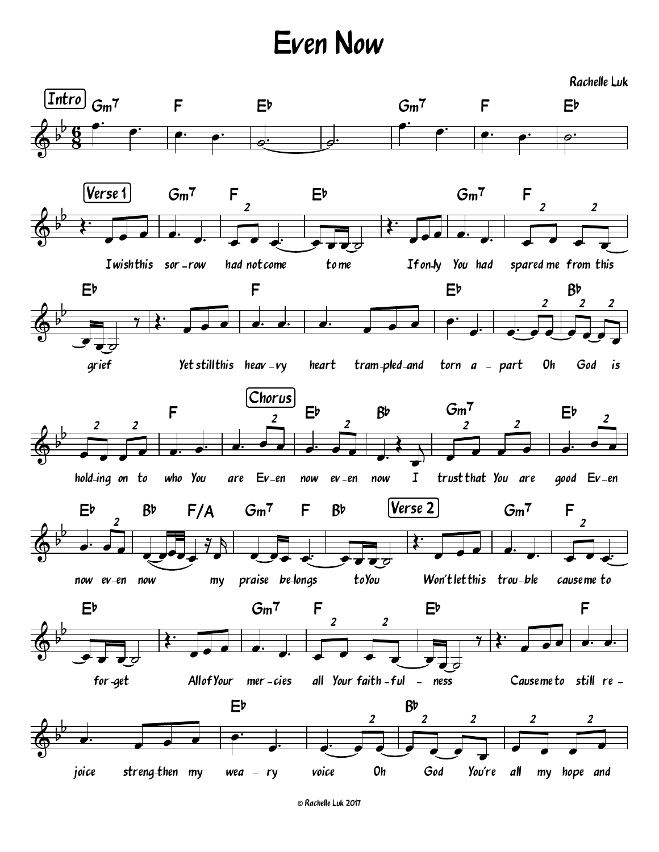## Even Now

Rachelle Luk

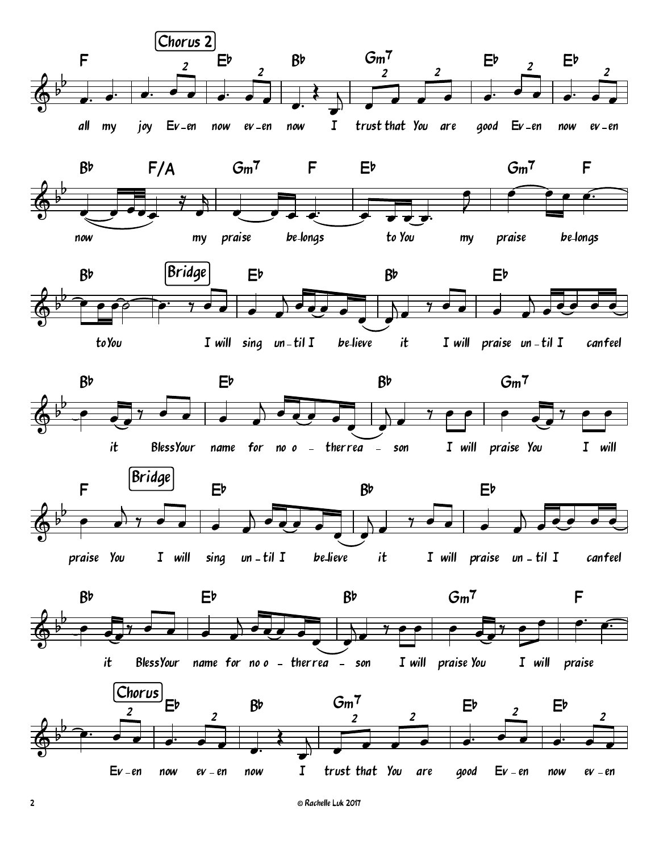